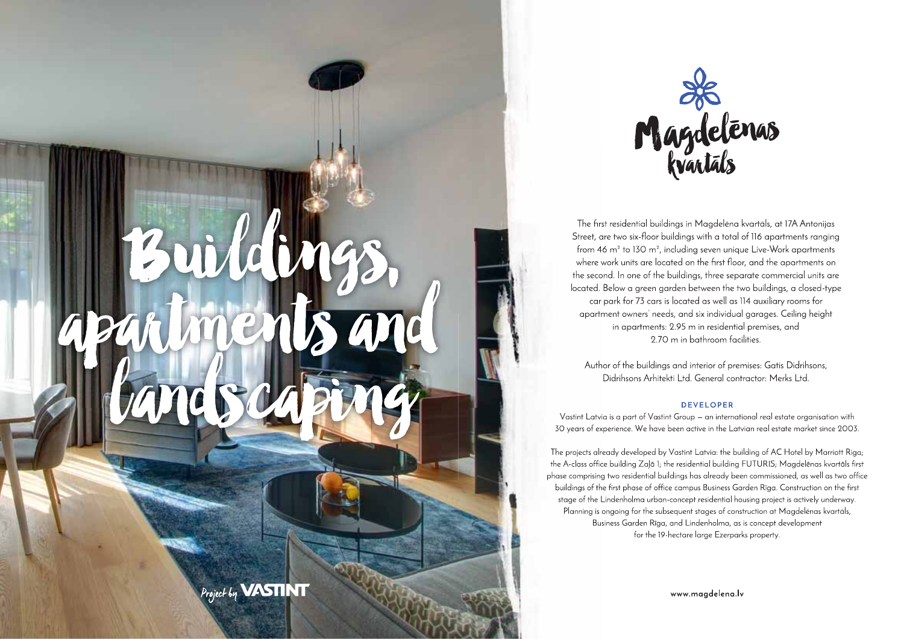

The first residential buildings in Magdelena kvartals, at 17A Antonijas Street, are two six-floor buildings with a total of 116 apartments ranging from 46 m<sup>2</sup> to 130 m<sup>2</sup>, including seven unique Live-Work apartments where work units are located on the first floor, and the apartments on the second. In one of the buildings, three separate commercial units are located. Below a green garden between the two buildings, a closed-type car park for 73 cars is located as well as 114 auxiliary rooms for apartment owners' needs, and six individual garages. Ceiling height in apartments: 2.95 m in residential premises, and 2.70 m in bathroom facilities.

Author of the buildings and interior of premises: Gatis Didrihsons, Didrihsons Arhitekti Ltd. General contractor: Merks Ltd.

#### **DEVELOPER**

Vastint Latvia is a part of Vastint Group - an international real estate organisation with 30 years of experience. We have been active in the Latvian real estate market since 2003.

The projects already developed by Vastint Latvia: the building of AC Hotel by Marriott Riga; the A-class office building Zalā 1; the residential building FUTURIS; Magdelēnas kvartāls first phase comprising two residential buildings has already been commissioned, as well as two office buildings of the first phase of office campus Business Garden Rīga. Construction on the first stage of the Lindenholma urban-concept residential housing project is actively underway. Planning is ongoing for the subsequent stages of construction at Magdelenas kvartals, Business Garden Rīga, and Lindenholma, as is concept development for the 19-hectare large Ezerparks property.

www.magdelena.lv

Ma

Project by **VASTINT**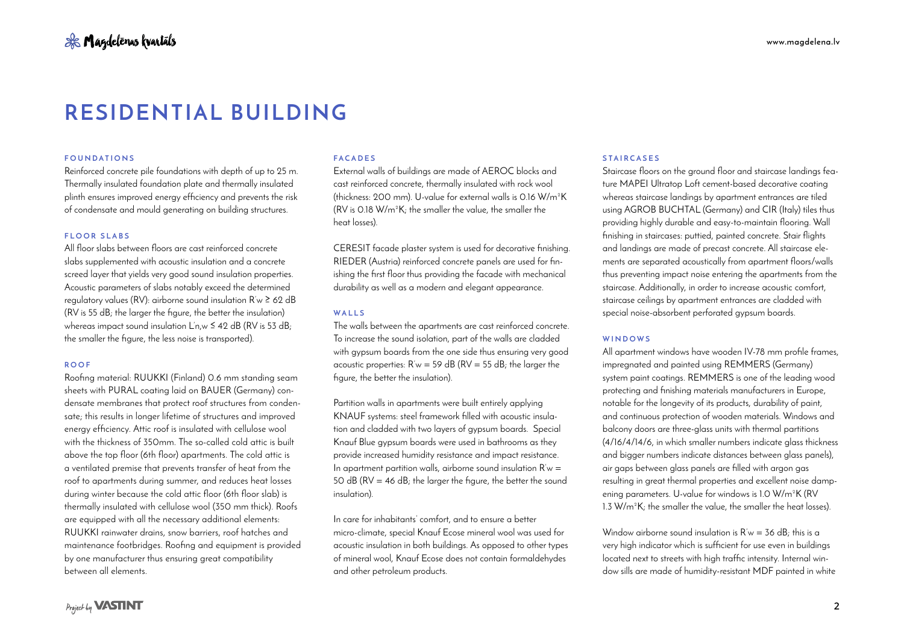### **FOUNDATIONS**

Reinforced concrete pile foundations with depth of up to 25 m. Thermally insulated foundation plate and thermally insulated plinth ensures improved energy efficiency and prevents the risk of condensate and mould generating on building structures.

### **FLOOR SLABS**

All floor slabs between floors are cast reinforced concrete slabs supplemented with acoustic insulation and a concrete screed layer that yields very good sound insulation properties. Acoustic parameters of slabs notably exceed the determined regulatory values (RV): airborne sound insulation R'w ≥ 62 dB (RV is 55 dB; the larger the figure, the better the insulation) whereas impact sound insulation L'n,w ≤ 42 dB (RV is 53 dB; the smaller the figure, the less noise is transported).

#### **ROOF**

Roofing material: RUUKKI (Finland) 0.6 mm standing seam sheets with PURAL coating laid on BAUER (Germany) condensate membranes that protect roof structures from condensate; this results in longer lifetime of structures and improved energy efficiency. Attic roof is insulated with cellulose wool with the thickness of 350mm. The so-called cold attic is built above the top floor (6th floor) apartments. The cold attic is a ventilated premise that prevents transfer of heat from the roof to apartments during summer, and reduces heat losses during winter because the cold attic floor (6th floor slab) is thermally insulated with cellulose wool (350 mm thick). Roofs are equipped with all the necessary additional elements: RUUKKI rainwater drains, snow barriers, roof hatches and maintenance footbridges. Roofing and equipment is provided by one manufacturer thus ensuring great compatibility between all elements.

#### **FACADES**

External walls of buildings are made of AEROC blocks and cast reinforced concrete, thermally insulated with rock wool (thickness: 200 mm). U-value for external walls is 0.16 W/m²K (RV is 0.18 W/m²K; the smaller the value, the smaller the heat losses).

CERESIT facade plaster system is used for decorative finishing. RIEDER (Austria) reinforced concrete panels are used for finishing the first floor thus providing the facade with mechanical durability as well as a modern and elegant appearance.

#### **WALLS**

The walls between the apartments are cast reinforced concrete. To increase the sound isolation, part of the walls are cladded with avpsum boards from the one side thus ensuring very good acoustic properties:  $R'w = 59$  dB ( $RV = 55$  dB; the larger the figure, the better the insulation).

Partition walls in apartments were built entirely applying KNAUF systems: steel framework filled with acoustic insulation and cladded with two layers of gypsum boards. Special Knauf Blue gypsum boards were used in bathrooms as they provide increased humidity resistance and impact resistance. In apartment partition walls, airborne sound insulation  $R'w =$ 50 dB ( $RV = 46$  dB; the larger the figure, the better the sound insulation).

In care for inhabitants' comfort, and to ensure a better micro-climate, special Knauf Ecose mineral wool was used for acoustic insulation in both buildings. As opposed to other types of mineral wool, Knauf Ecose does not contain formaldehydes and other petroleum products.

#### **STAIRCASES**

Staircase floors on the ground floor and staircase landings feature MAPEI Ultratop Loft cement-based decorative coating whereas staircase landings by apartment entrances are tiled using AGROB BUCHTAL (Germany) and CIR (Italy) tiles thus providing highly durable and easy-to-maintain flooring. Wall finishing in staircases: puttied, painted concrete. Stair flights and landings are made of precast concrete. All staircase elements are separated acoustically from apartment floors/walls thus preventing impact noise entering the apartments from the staircase. Additionally, in order to increase acoustic comfort, staircase ceilings by apartment entrances are cladded with special noise-absorbent perforated gypsum boards.

#### **WINDOWS**

All apartment windows have wooden IV-78 mm profile frames, impregnated and painted using REMMERS (Germany) system paint coatings. REMMERS is one of the leading wood protecting and finishing materials manufacturers in Europe, notable for the longevity of its products, durability of paint, and continuous protection of wooden materials. Windows and balcony doors are three-glass units with thermal partitions (4/16/4/14/6, in which smaller numbers indicate glass thickness and bigger numbers indicate distances between glass panels), air gaps between glass panels are filled with argon gas resulting in great thermal properties and excellent noise dampening parameters. U-value for windows is 1.0 W/m²K (RV 1.3 W/m²K; the smaller the value, the smaller the heat losses).

Window airborne sound insulation is  $R'w = 36$  dB; this is a very high indicator which is sufficient for use even in buildings located next to streets with high traffic intensity. Internal window sills are made of humidity-resistant MDF painted in white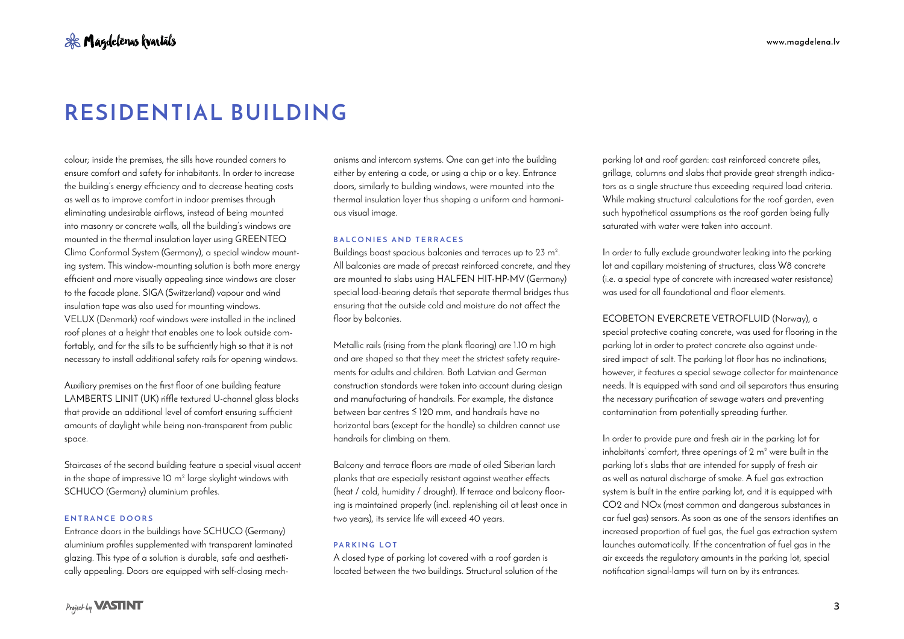colour; inside the premises, the sills have rounded corners to ensure comfort and safety for inhabitants. In order to increase the building's energy efficiency and to decrease heating costs as well as to improve comfort in indoor premises through eliminating undesirable airflows, instead of being mounted into masonry or concrete walls, all the building's windows are mounted in the thermal insulation layer using GREENTEQ Clima Conformal System (Germany), a special window mounting system. This window-mounting solution is both more energy efficient and more visually appealing since windows are closer to the facade plane. SIGA (Switzerland) vapour and wind insulation tape was also used for mounting windows. VELUX (Denmark) roof windows were installed in the inclined roof planes at a height that enables one to look outside comfortably, and for the sills to be sufficiently high so that it is not necessary to install additional safety rails for opening windows.

Auxiliary premises on the first floor of one building feature LAMBERTS LINIT (UK) riffle textured U-channel glass blocks that provide an additional level of comfort ensuring sufficient amounts of daylight while being non-transparent from public space.

Staircases of the second building feature a special visual accent in the shape of impressive 10 m² large skylight windows with SCHUCO (Germany) aluminium profiles.

# **ENTRANCE DOORS**

Entrance doors in the buildings have SCHUCO (Germany) aluminium profiles supplemented with transparent laminated glazing. This type of a solution is durable, safe and aesthetically appealing. Doors are equipped with self-closing mechanisms and intercom systems. One can get into the building either by entering a code, or using a chip or a key. Entrance doors, similarly to building windows, were mounted into the thermal insulation layer thus shaping a uniform and harmonious visual image.

# **BALCONIES AND TERRACES**

Buildings boast spacious balconies and terraces up to 23 m². All balconies are made of precast reinforced concrete, and they are mounted to slabs using HALFEN HIT-HP-MV (Germany) special load-bearing details that separate thermal bridges thus ensuring that the outside cold and moisture do not affect the floor by balconies.

Metallic rails (rising from the plank flooring) are 1.10 m high and are shaped so that they meet the strictest safety requirements for adults and children. Both Latvian and German construction standards were taken into account during design and manufacturing of handrails. For example, the distance between bar centres ≤ 120 mm, and handrails have no horizontal bars (except for the handle) so children cannot use handrails for climbing on them.

Balcony and terrace floors are made of oiled Siberian larch planks that are especially resistant against weather effects (heat / cold, humidity / drought). If terrace and balcony flooring is maintained properly (incl. replenishing oil at least once in two years), its service life will exceed 40 years.

# **PARKING LOT**

A closed type of parking lot covered with a roof garden is located between the two buildings. Structural solution of the

parking lot and roof garden: cast reinforced concrete piles, grillage, columns and slabs that provide great strength indicators as a single structure thus exceeding required load criteria. While making structural calculations for the roof garden, even such hypothetical assumptions as the roof garden being fully saturated with water were taken into account.

In order to fully exclude groundwater leaking into the parking lot and capillary moistening of structures, class W8 concrete (i.e. a special type of concrete with increased water resistance) was used for all foundational and floor elements.

ECOBETON EVERCRETE VETROFLUID (Norway), a special protective coating concrete, was used for flooring in the parking lot in order to protect concrete also against undesired impact of salt. The parking lot floor has no inclinations; however, it features a special sewage collector for maintenance needs. It is equipped with sand and oil separators thus ensuring the necessary purification of sewage waters and preventing contamination from potentially spreading further.

In order to provide pure and fresh air in the parking lot for inhabitants' comfort, three openings of 2 m² were built in the parking lot's slabs that are intended for supply of fresh air as well as natural discharge of smoke. A fuel gas extraction system is built in the entire parking lot, and it is equipped with CO2 and NOx (most common and dangerous substances in car fuel gas) sensors. As soon as one of the sensors identifies an increased proportion of fuel gas, the fuel gas extraction system launches automatically. If the concentration of fuel gas in the air exceeds the regulatory amounts in the parking lot, special notification signal-lamps will turn on by its entrances.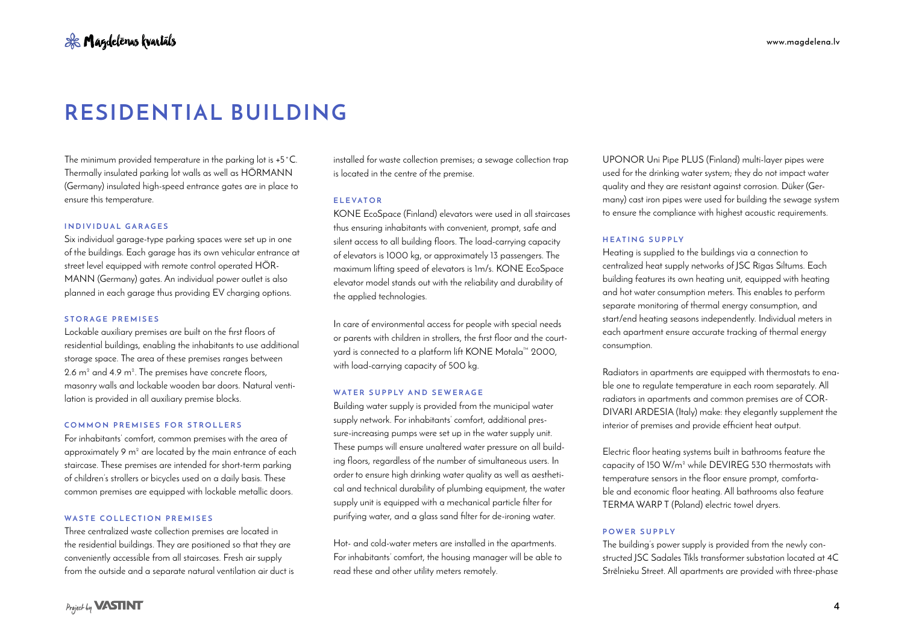The minimum provided temperature in the parking lot is +5˚C. Thermally insulated parking lot walls as well as HÖRMANN (Germany) insulated high-speed entrance gates are in place to ensure this temperature.

# **INDIVIDUAL GARAGES**

Six individual garage-type parking spaces were set up in one of the buildings. Each garage has its own vehicular entrance at street level equipped with remote control operated HÖR-MANN (Germany) gates. An individual power outlet is also planned in each garage thus providing EV charging options.

# **STORAGE PREMISES**

Lockable auxiliary premises are built on the first floors of residential buildings, enabling the inhabitants to use additional storage space. The area of these premises ranges between 2.6 m² and 4.9 m². The premises have concrete floors, masonry walls and lockable wooden bar doors. Natural ventilation is provided in all auxiliary premise blocks.

# **COMMON PREMISES FOR STROLLERS**

For inhabitants' comfort, common premises with the area of approximately 9 m² are located by the main entrance of each staircase. These premises are intended for short-term parking of children's strollers or bicycles used on a daily basis. These common premises are equipped with lockable metallic doors.

# **WASTE COLLECTION PREMISES**

Three centralized waste collection premises are located in the residential buildings. They are positioned so that they are conveniently accessible from all staircases. Fresh air supply from the outside and a separate natural ventilation air duct is installed for waste collection premises; a sewage collection trap is located in the centre of the premise.

#### **ELEVATOR**

KONE EcoSpace (Finland) elevators were used in all staircases thus ensuring inhabitants with convenient, prompt, safe and silent access to all building floors. The load-carrying capacity of elevators is 1000 kg, or approximately 13 passengers. The maximum lifting speed of elevators is 1m/s. KONE EcoSpace elevator model stands out with the reliability and durability of the applied technologies.

In care of environmental access for people with special needs or parents with children in strollers, the first floor and the courtyard is connected to a platform lift KONE Motala™ 2000, with load-carrying capacity of 500 kg.

## **WATER SUPPLY AND SEWERAGE**

Building water supply is provided from the municipal water supply network. For inhabitants' comfort, additional pressure-increasing pumps were set up in the water supply unit. These pumps will ensure unaltered water pressure on all building floors, regardless of the number of simultaneous users. In order to ensure high drinking water quality as well as aesthetical and technical durability of plumbing equipment, the water supply unit is equipped with a mechanical particle filter for purifying water, and a glass sand filter for de-ironing water.

Hot- and cold-water meters are installed in the apartments. For inhabitants' comfort, the housing manager will be able to read these and other utility meters remotely.

UPONOR Uni Pipe PLUS (Finland) multi-layer pipes were used for the drinking water system; they do not impact water quality and they are resistant against corrosion. Düker (Germany) cast iron pipes were used for building the sewage system to ensure the compliance with highest acoustic requirements.

# **HEATING SUPPLY**

Heating is supplied to the buildings via a connection to centralized heat supply networks of JSC Rīgas Siltums. Each building features its own heating unit, equipped with heating and hot water consumption meters. This enables to perform separate monitoring of thermal energy consumption, and start/end heating seasons independently. Individual meters in each apartment ensure accurate tracking of thermal energy consumption.

Radiators in apartments are equipped with thermostats to enable one to regulate temperature in each room separately. All radiators in apartments and common premises are of COR-DIVARI ARDESIA (Italy) make: they elegantly supplement the interior of premises and provide efficient heat output.

Electric floor heating systems built in bathrooms feature the capacity of 150 W/m² while DEVIREG 530 thermostats with temperature sensors in the floor ensure prompt, comfortable and economic floor heating. All bathrooms also feature TERMA WARP T (Poland) electric towel dryers.

#### **POWER SUPPLY**

The building's power supply is provided from the newly constructed JSC Sadales Tīkls transformer substation located at 4C Strēlnieku Street. All apartments are provided with three-phase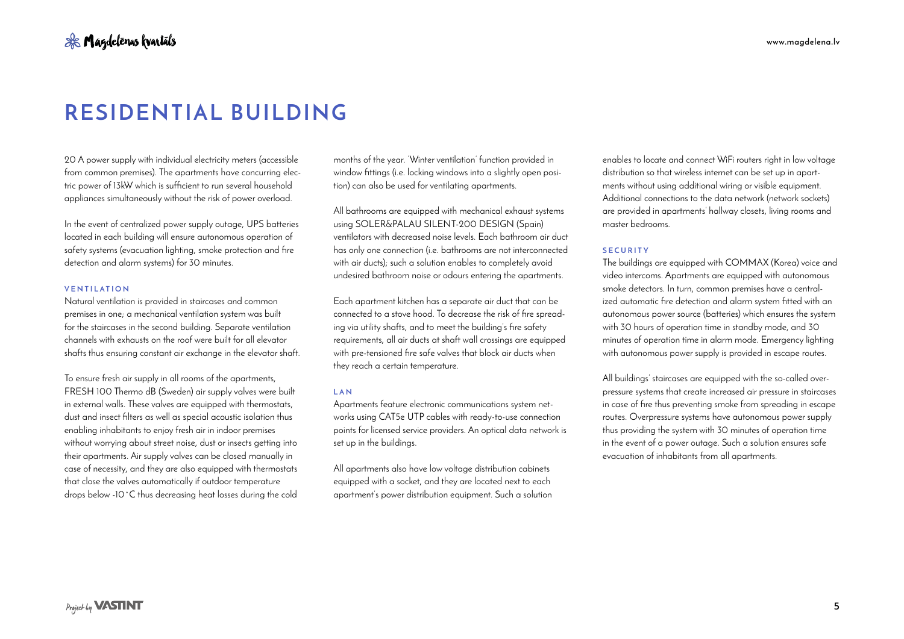20 A power supply with individual electricity meters (accessible from common premises). The apartments have concurring electric power of 13kW which is sufficient to run several household appliances simultaneously without the risk of power overload.

In the event of centralized power supply outage, UPS batteries located in each building will ensure autonomous operation of safety systems (evacuation lighting, smoke protection and fire detection and alarm systems) for 30 minutes.

# **VENTILATION**

Natural ventilation is provided in staircases and common premises in one; a mechanical ventilation system was built for the staircases in the second building. Separate ventilation channels with exhausts on the roof were built for all elevator shafts thus ensuring constant air exchange in the elevator shaft.

To ensure fresh air supply in all rooms of the apartments, FRESH 100 Thermo dB (Sweden) air supply valves were built in external walls. These valves are equipped with thermostats, dust and insect filters as well as special acoustic isolation thus enabling inhabitants to enjoy fresh air in indoor premises without worrying about street noise, dust or insects getting into their apartments. Air supply valves can be closed manually in case of necessity, and they are also equipped with thermostats that close the valves automatically if outdoor temperature drops below -10˚C thus decreasing heat losses during the cold months of the year. 'Winter ventilation' function provided in window fittings (i.e. locking windows into a slightly open position) can also be used for ventilating apartments.

All bathrooms are equipped with mechanical exhaust systems using SOLER&PALAU SILENT-200 DESIGN (Spain) ventilators with decreased noise levels. Each bathroom air duct has only one connection (i.e. bathrooms are not interconnected with air ducts); such a solution enables to completely avoid undesired bathroom noise or odours entering the apartments.

Each apartment kitchen has a separate air duct that can be connected to a stove hood. To decrease the risk of fire spreading via utility shafts, and to meet the building's fire safety requirements, all air ducts at shaft wall crossings are equipped with pre-tensioned fire safe valves that block air ducts when they reach a certain temperature.

#### **LAN**

Apartments feature electronic communications system networks using CAT5e UTP cables with ready-to-use connection points for licensed service providers. An optical data network is set up in the buildings.

All apartments also have low voltage distribution cabinets equipped with a socket, and they are located next to each apartment's power distribution equipment. Such a solution enables to locate and connect WiFi routers right in low voltage distribution so that wireless internet can be set up in apartments without using additional wiring or visible equipment. Additional connections to the data network (network sockets) are provided in apartments' hallway closets, living rooms and master bedrooms.

#### **SECURITY**

The buildings are equipped with COMMAX (Korea) voice and video intercoms. Apartments are equipped with autonomous smoke detectors. In turn, common premises have a centralized automatic fire detection and alarm system fitted with an autonomous power source (batteries) which ensures the system with 30 hours of operation time in standby mode, and 30 minutes of operation time in alarm mode. Emergency lighting with autonomous power supply is provided in escape routes.

All buildings' staircases are equipped with the so-called overpressure systems that create increased air pressure in staircases in case of fire thus preventing smoke from spreading in escape routes. Overpressure systems have autonomous power supply thus providing the system with 30 minutes of operation time in the event of a power outage. Such a solution ensures safe evacuation of inhabitants from all apartments.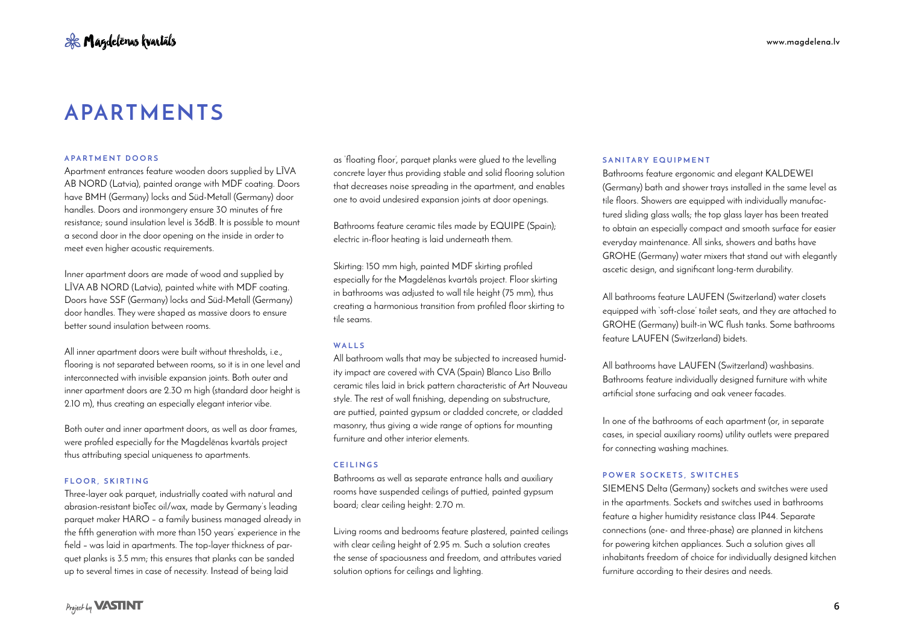# **APARTMENTS**

## **APARTMENT DOORS**

Apartment entrances feature wooden doors supplied by LĪVA AB NORD (Latvia), painted orange with MDF coating. Doors have BMH (Germany) locks and Süd-Metall (Germany) door handles. Doors and ironmongery ensure 30 minutes of fire resistance; sound insulation level is 36dB. It is possible to mount a second door in the door opening on the inside in order to meet even higher acoustic requirements.

Inner apartment doors are made of wood and supplied by LĪVA AB NORD (Latvia), painted white with MDF coating. Doors have SSF (Germany) locks and Süd-Metall (Germany) door handles. They were shaped as massive doors to ensure better sound insulation between rooms.

All inner apartment doors were built without thresholds, i.e., flooring is not separated between rooms, so it is in one level and interconnected with invisible expansion joints. Both outer and inner apartment doors are 2.30 m high (standard door height is 2.10 m), thus creating an especially elegant interior vibe.

Both outer and inner apartment doors, as well as door frames, were profiled especially for the Magdelēnas kvartāls project thus attributing special uniqueness to apartments.

# **FLOOR, SKIRTING**

Three-layer oak parquet, industrially coated with natural and abrasion-resistant bioTec oil/wax, made by Germany's leading parquet maker HARO – a family business managed already in the fifth generation with more than 150 years' experience in the field – was laid in apartments. The top-layer thickness of parquet planks is 3.5 mm; this ensures that planks can be sanded up to several times in case of necessity. Instead of being laid

Project by **VASTINT** 

as 'floating floor', parquet planks were glued to the levelling concrete layer thus providing stable and solid flooring solution that decreases noise spreading in the apartment, and enables one to avoid undesired expansion joints at door openings.

Bathrooms feature ceramic tiles made by EQUIPE (Spain); electric in-floor heating is laid underneath them.

Skirting: 150 mm high, painted MDF skirting profiled especially for the Magdelēnas kvartāls project. Floor skirting in bathrooms was adjusted to wall tile height (75 mm), thus creating a harmonious transition from profiled floor skirting to tile seams.

# **WALLS**

All bathroom walls that may be subjected to increased humidity impact are covered with CVA (Spain) Blanco Liso Brillo ceramic tiles laid in brick pattern characteristic of Art Nouveau style. The rest of wall finishing, depending on substructure, are puttied, painted gypsum or cladded concrete, or cladded masonry, thus giving a wide range of options for mounting furniture and other interior elements.

# **CEILINGS**

Bathrooms as well as separate entrance halls and auxiliary rooms have suspended ceilings of puttied, painted gypsum board; clear ceiling height: 2.70 m.

Living rooms and bedrooms feature plastered, painted ceilings with clear ceiling height of 2.95 m. Such a solution creates the sense of spaciousness and freedom, and attributes varied solution options for ceilings and lighting.

# **SANITARY EQUIPMENT**

Bathrooms feature ergonomic and elegant KALDEWEI (Germany) bath and shower trays installed in the same level as tile floors. Showers are equipped with individually manufactured sliding glass walls; the top glass layer has been treated to obtain an especially compact and smooth surface for easier everyday maintenance. All sinks, showers and baths have GROHE (Germany) water mixers that stand out with elegantly ascetic design, and significant long-term durability.

All bathrooms feature LAUFEN (Switzerland) water closets equipped with 'soft-close' toilet seats, and they are attached to GROHE (Germany) built-in WC flush tanks. Some bathrooms feature LAUFEN (Switzerland) bidets.

All bathrooms have LAUFEN (Switzerland) washbasins. Bathrooms feature individually designed furniture with white artificial stone surfacing and oak veneer facades.

In one of the bathrooms of each apartment (or, in separate cases, in special auxiliary rooms) utility outlets were prepared for connecting washing machines.

# **POWER SOCKETS, SWITCHES**

SIEMENS Delta (Germany) sockets and switches were used in the apartments. Sockets and switches used in bathrooms feature a higher humidity resistance class IP44. Separate connections (one- and three-phase) are planned in kitchens for powering kitchen appliances. Such a solution gives all inhabitants freedom of choice for individually designed kitchen furniture according to their desires and needs.

**6**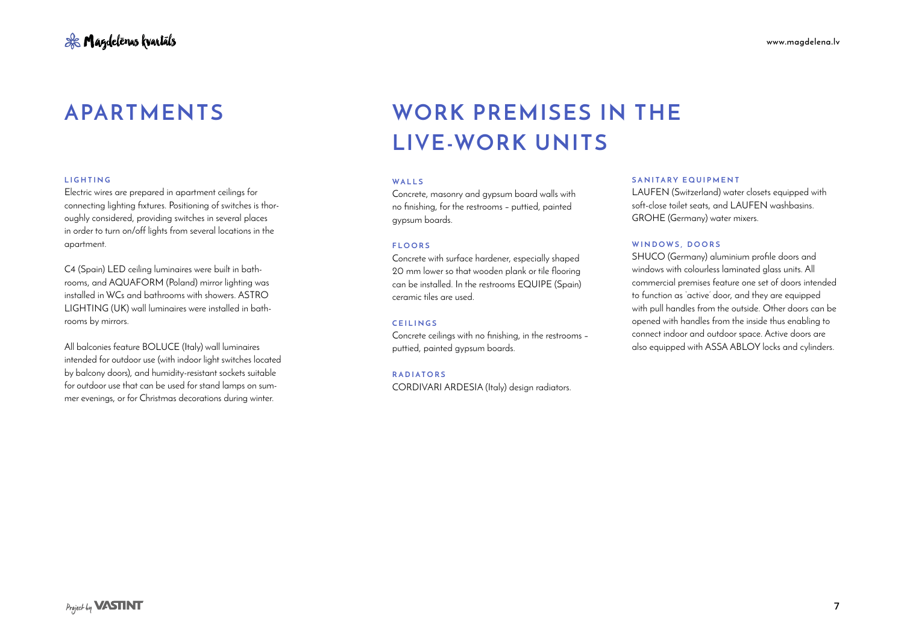## **LIGHTING**

Electric wires are prepared in apartment ceilings for connecting lighting fixtures. Positioning of switches is thoroughly considered, providing switches in several places in order to turn on/off lights from several locations in the apartment.

C4 (Spain) LED ceiling luminaires were built in bathrooms, and AQUAFORM (Poland) mirror lighting was installed in WCs and bathrooms with showers. ASTRO LIGHTING (UK) wall luminaires were installed in bathrooms by mirrors.

All balconies feature BOLUCE (Italy) wall luminaires intended for outdoor use (with indoor light switches located by balcony doors), and humidity-resistant sockets suitable for outdoor use that can be used for stand lamps on summer evenings, or for Christmas decorations during winter.

# **APARTMENTS WORK PREMISES IN THE LIVE-WORK UNITS**

## **WALLS**

Concrete, masonry and gypsum board walls with no finishing, for the restrooms – puttied, painted gypsum boards.

#### **FLOORS**

Concrete with surface hardener, especially shaped 20 mm lower so that wooden plank or tile flooring can be installed. In the restrooms EQUIPE (Spain) ceramic tiles are used.

# **CEILINGS**

Concrete ceilings with no finishing, in the restrooms – puttied, painted gypsum boards.

#### **RADIATORS**

CORDIVARI ARDESIA (Italy) design radiators.

#### **SANITARY EQUIPMENT**

LAUFEN (Switzerland) water closets equipped with soft-close toilet seats, and LAUFEN washbasins. GROHE (Germany) water mixers.

## **WINDOWS, DOORS**

SHUCO (Germany) aluminium profile doors and windows with colourless laminated glass units. All commercial premises feature one set of doors intended to function as 'active' door, and they are equipped with pull handles from the outside. Other doors can be opened with handles from the inside thus enabling to connect indoor and outdoor space. Active doors are also equipped with ASSA ABLOY locks and cylinders.